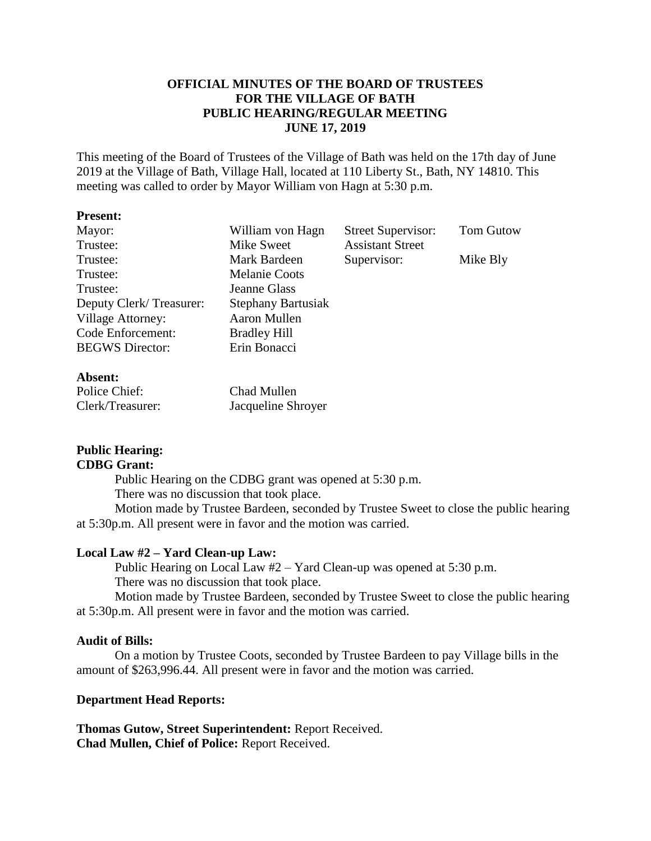# **OFFICIAL MINUTES OF THE BOARD OF TRUSTEES FOR THE VILLAGE OF BATH PUBLIC HEARING/REGULAR MEETING JUNE 17, 2019**

This meeting of the Board of Trustees of the Village of Bath was held on the 17th day of June 2019 at the Village of Bath, Village Hall, located at 110 Liberty St., Bath, NY 14810. This meeting was called to order by Mayor William von Hagn at 5:30 p.m.

| <b>Present:</b>          |                           |                           |                  |
|--------------------------|---------------------------|---------------------------|------------------|
| Mayor:                   | William von Hagn          | <b>Street Supervisor:</b> | <b>Tom Gutow</b> |
| Trustee:                 | Mike Sweet                | <b>Assistant Street</b>   |                  |
| Trustee:                 | Mark Bardeen              | Supervisor:               | Mike Bly         |
| Trustee:                 | <b>Melanie Coots</b>      |                           |                  |
| Trustee:                 | Jeanne Glass              |                           |                  |
| Deputy Clerk/Treasurer:  | <b>Stephany Bartusiak</b> |                           |                  |
| <b>Village Attorney:</b> | Aaron Mullen              |                           |                  |
| Code Enforcement:        | <b>Bradley Hill</b>       |                           |                  |
| <b>BEGWS</b> Director:   | Erin Bonacci              |                           |                  |
| Absent:                  |                           |                           |                  |
| Dolias Chief.            | $Chod$ Mullon             |                           |                  |

| Police Chief:    | Chad Mullen        |
|------------------|--------------------|
| Clerk/Treasurer: | Jacqueline Shroyer |

#### **Public Hearing: CDBG Grant:**

Public Hearing on the CDBG grant was opened at 5:30 p.m. There was no discussion that took place.

Motion made by Trustee Bardeen, seconded by Trustee Sweet to close the public hearing at 5:30p.m. All present were in favor and the motion was carried.

## **Local Law #2 – Yard Clean-up Law:**

Public Hearing on Local Law #2 – Yard Clean-up was opened at 5:30 p.m. There was no discussion that took place.

Motion made by Trustee Bardeen, seconded by Trustee Sweet to close the public hearing at 5:30p.m. All present were in favor and the motion was carried.

#### **Audit of Bills:**

On a motion by Trustee Coots, seconded by Trustee Bardeen to pay Village bills in the amount of \$263,996.44. All present were in favor and the motion was carried.

## **Department Head Reports:**

**Thomas Gutow, Street Superintendent:** Report Received. **Chad Mullen, Chief of Police:** Report Received.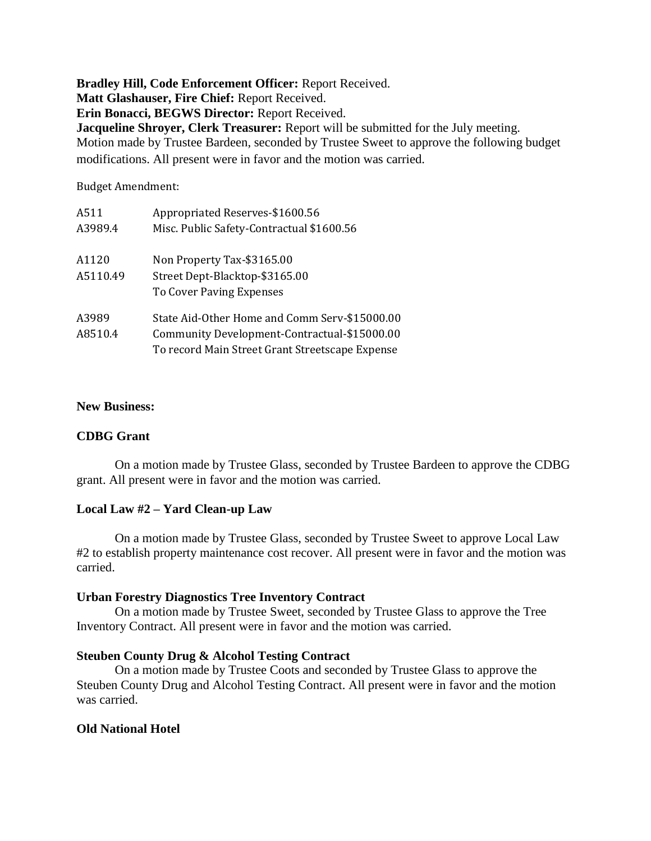**Bradley Hill, Code Enforcement Officer:** Report Received. **Matt Glashauser, Fire Chief:** Report Received. **Erin Bonacci, BEGWS Director:** Report Received. **Jacqueline Shroyer, Clerk Treasurer:** Report will be submitted for the July meeting. Motion made by Trustee Bardeen, seconded by Trustee Sweet to approve the following budget modifications. All present were in favor and the motion was carried.

Budget Amendment:

| A511     | Appropriated Reserves-\$1600.56                 |  |  |  |
|----------|-------------------------------------------------|--|--|--|
| A3989.4  | Misc. Public Safety-Contractual \$1600.56       |  |  |  |
| A1120    | Non Property Tax-\$3165.00                      |  |  |  |
| A5110.49 | Street Dept-Blacktop-\$3165.00                  |  |  |  |
|          | To Cover Paving Expenses                        |  |  |  |
| A3989    | State Aid-Other Home and Comm Serv-\$15000.00   |  |  |  |
| A8510.4  | Community Development-Contractual-\$15000.00    |  |  |  |
|          | To record Main Street Grant Streetscape Expense |  |  |  |

#### **New Business:**

#### **CDBG Grant**

On a motion made by Trustee Glass, seconded by Trustee Bardeen to approve the CDBG grant. All present were in favor and the motion was carried.

#### **Local Law #2 – Yard Clean-up Law**

On a motion made by Trustee Glass, seconded by Trustee Sweet to approve Local Law #2 to establish property maintenance cost recover. All present were in favor and the motion was carried.

#### **Urban Forestry Diagnostics Tree Inventory Contract**

On a motion made by Trustee Sweet, seconded by Trustee Glass to approve the Tree Inventory Contract. All present were in favor and the motion was carried.

#### **Steuben County Drug & Alcohol Testing Contract**

On a motion made by Trustee Coots and seconded by Trustee Glass to approve the Steuben County Drug and Alcohol Testing Contract. All present were in favor and the motion was carried.

#### **Old National Hotel**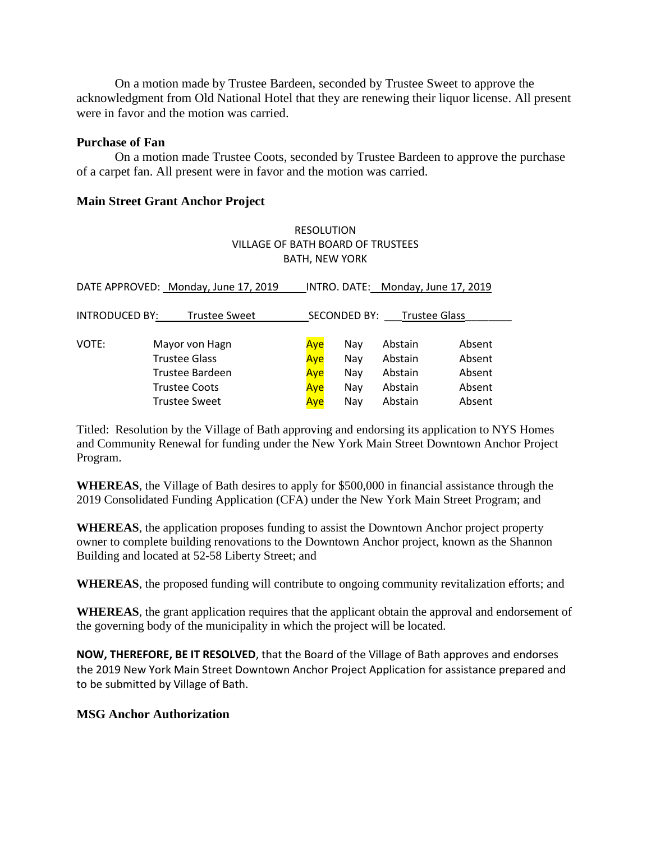On a motion made by Trustee Bardeen, seconded by Trustee Sweet to approve the acknowledgment from Old National Hotel that they are renewing their liquor license. All present were in favor and the motion was carried.

### **Purchase of Fan**

On a motion made Trustee Coots, seconded by Trustee Bardeen to approve the purchase of a carpet fan. All present were in favor and the motion was carried.

# **Main Street Grant Anchor Project**

# RESOLUTION VILLAGE OF BATH BOARD OF TRUSTEES BATH, NEW YORK

| DATE APPROVED: Monday, June 17, 2019 |                      |     | INTRO. DATE: Monday, June 17, 2019 |         |        |  |
|--------------------------------------|----------------------|-----|------------------------------------|---------|--------|--|
| <b>INTRODUCED BY:</b>                |                      |     | SECONDED BY:                       |         |        |  |
| <b>Trustee Sweet</b>                 |                      |     | Trustee Glass                      |         |        |  |
| VOTE:                                | Mayor von Hagn       | Ave | Nav                                | Abstain | Absent |  |
|                                      | <b>Trustee Glass</b> | Aye | Nay                                | Abstain | Absent |  |
|                                      | Trustee Bardeen      | Aye | Nay                                | Abstain | Absent |  |
|                                      | <b>Trustee Coots</b> | Aye | Nay                                | Abstain | Absent |  |
|                                      | <b>Trustee Sweet</b> | Aye | Nav                                | Abstain | Absent |  |

Titled: Resolution by the Village of Bath approving and endorsing its application to NYS Homes and Community Renewal for funding under the New York Main Street Downtown Anchor Project Program.

**WHEREAS**, the Village of Bath desires to apply for \$500,000 in financial assistance through the 2019 Consolidated Funding Application (CFA) under the New York Main Street Program; and

**WHEREAS**, the application proposes funding to assist the Downtown Anchor project property owner to complete building renovations to the Downtown Anchor project, known as the Shannon Building and located at 52-58 Liberty Street; and

**WHEREAS**, the proposed funding will contribute to ongoing community revitalization efforts; and

**WHEREAS**, the grant application requires that the applicant obtain the approval and endorsement of the governing body of the municipality in which the project will be located.

**NOW, THEREFORE, BE IT RESOLVED**, that the Board of the Village of Bath approves and endorses the 2019 New York Main Street Downtown Anchor Project Application for assistance prepared and to be submitted by Village of Bath.

## **MSG Anchor Authorization**